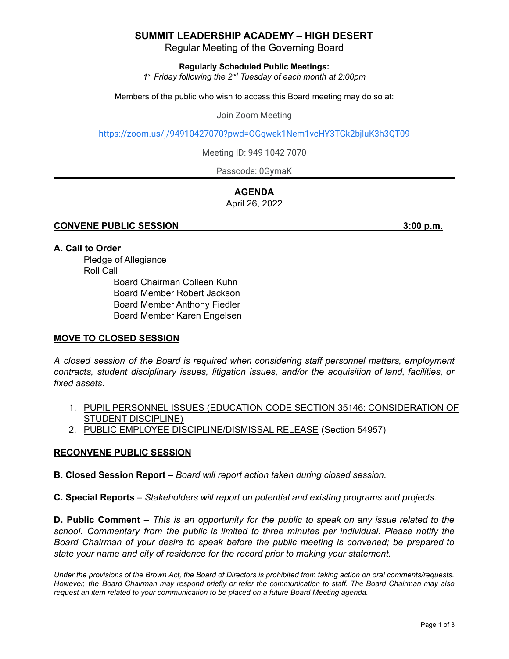## **SUMMIT LEADERSHIP ACADEMY – HIGH DESERT**

Regular Meeting of the Governing Board

**Regularly Scheduled Public Meetings:**

*1 st Friday following the 2 nd Tuesday of each month at 2:00pm*

Members of the public who wish to access this Board meeting may do so at:

Join Zoom Meeting

<https://zoom.us/j/94910427070?pwd=OGgwek1Nem1vcHY3TGk2bjluK3h3QT09>

Meeting ID: 949 1042 7070

Passcode: 0GymaK

# **AGENDA**

April 26, 2022

#### **CONVENE PUBLIC SESSION 3:00 p.m.**

#### **A. Call to Order**

Pledge of Allegiance Roll Call

Board Chairman Colleen Kuhn Board Member Robert Jackson Board Member Anthony Fiedler Board Member Karen Engelsen

#### **MOVE TO CLOSED SESSION**

*A closed session of the Board is required when considering staff personnel matters, employment contracts, student disciplinary issues, litigation issues, and/or the acquisition of land, facilities, or fixed assets.*

- 1. PUPIL PERSONNEL ISSUES (EDUCATION CODE SECTION 35146: CONSIDERATION OF STUDENT DISCIPLINE)
- 2. PUBLIC EMPLOYEE DISCIPLINE/DISMISSAL RELEASE (Section 54957)

#### **RECONVENE PUBLIC SESSION**

**B. Closed Session Report** – *Board will report action taken during closed session.*

**C. Special Reports** *– Stakeholders will report on potential and existing programs and projects.*

**D. Public Comment –** This is an opportunity for the public to speak on any issue related to the *school. Commentary from the public is limited to three minutes per individual. Please notify the Board Chairman of your desire to speak before the public meeting is convened; be prepared to state your name and city of residence for the record prior to making your statement.*

Under the provisions of the Brown Act, the Board of Directors is prohibited from taking action on oral comments/requests. However, the Board Chairman may respond briefly or refer the communication to staff. The Board Chairman may also *request an item related to your communication to be placed on a future Board Meeting agenda.*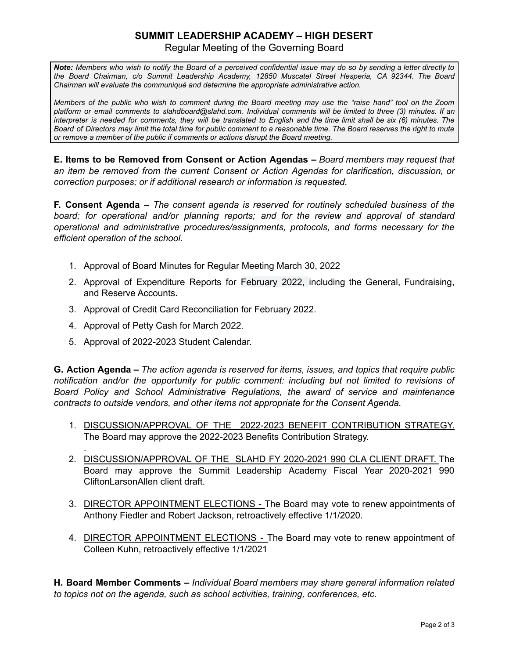# **SUMMIT LEADERSHIP ACADEMY – HIGH DESERT**

Regular Meeting of the Governing Board

Note: Members who wish to notify the Board of a perceived confidential issue may do so by sending a letter directly to *the Board Chairman, c/o Summit Leadership Academy, 12850 Muscatel Street Hesperia, CA 92344. The Board Chairman will evaluate the communiqué and determine the appropriate administrative action.*

Members of the public who wish to comment during the Board meeting may use the "raise hand" tool on the Zoom platform or email comments to slahdboard@slahd.com. Individual comments will be limited to three (3) minutes. If an interpreter is needed for comments, they will be translated to English and the time limit shall be six (6) minutes. The Board of Directors may limit the total time for public comment to a reasonable time. The Board reserves the right to mute *or remove a member of the public if comments or actions disrupt the Board meeting.*

**E. Items to be Removed from Consent or Action Agendas –** *Board members may request that an item be removed from the current Consent or Action Agendas for clarification, discussion, or correction purposes; or if additional research or information is requested.*

**F. Consent Agenda –** *The consent agenda is reserved for routinely scheduled business of the board; for operational and/or planning reports; and for the review and approval of standard operational and administrative procedures/assignments, protocols, and forms necessary for the efficient operation of the school.*

- 1. Approval of Board Minutes for Regular Meeting March 30, 2022
- 2. Approval of Expenditure Reports for February 2022, including the General, Fundraising, and Reserve Accounts.
- 3. Approval of Credit Card Reconciliation for February 2022.
- 4. Approval of Petty Cash for March 2022.

.

5. Approval of 2022-2023 Student Calendar.

**G. Action Agenda –** *The action agenda is reserved for items, issues, and topics that require public notification and/or the opportunity for public comment: including but not limited to revisions of Board Policy and School Administrative Regulations, the award of service and maintenance contracts to outside vendors, and other items not appropriate for the Consent Agenda.*

- 1. DISCUSSION/APPROVAL OF THE 2022-2023 BENEFIT CONTRIBUTION STRATEGY. The Board may approve the 2022-2023 Benefits Contribution Strategy.
- 2. DISCUSSION/APPROVAL OF THE SLAHD FY 2020-2021 990 CLA CLIENT DRAFT. The Board may approve the Summit Leadership Academy Fiscal Year 2020-2021 990 CliftonLarsonAllen client draft.
- 3. DIRECTOR APPOINTMENT ELECTIONS The Board may vote to renew appointments of Anthony Fiedler and Robert Jackson, retroactively effective 1/1/2020.
- 4. DIRECTOR APPOINTMENT ELECTIONS The Board may vote to renew appointment of Colleen Kuhn, retroactively effective 1/1/2021

**H. Board Member Comments –** *Individual Board members may share general information related to topics not on the agenda, such as school activities, training, conferences, etc.*